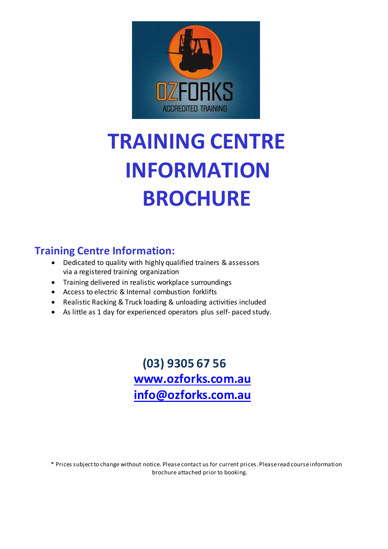

# **TRAINING CENTRE INFORMATION BROCHURE**

## **Training Centre Information:**

- Dedicated to quality with highly qualified trainers & assessors via a registered training organization
- Training delivered in realistic workplace surroundings
- Access to electric & Internal combustion forklifts
- Realistic Racking & Truck loading & unloading activities included
- As little as 1 day for experienced operators plus self- paced study.

 **(03) 9305 67 56 [www.ozforks.com.au](http://www.ozforks.com.au/) [info@ozforks.com.au](mailto:info@ozforks.com.au)**

\* Prices subject to change without notice. Please contact us for current prices. Please read course information brochure attached prior to booking.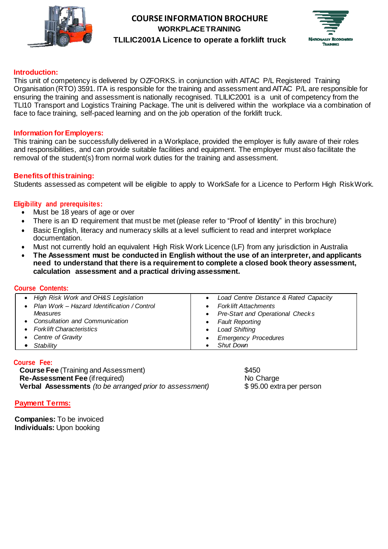



#### **Introduction:**

This unit of competency is delivered by OZFORKS. in conjunction with AITAC P/L Registered Training Organisation (RTO) 3591. ITA is responsible for the training and assessment and AITAC P/L are responsible for ensuring the training and assessment is nationally recognised. TLILIC2001 is a unit of competency from the TLI10 Transport and Logistics Training Package. The unit is delivered within the workplace via a combination of face to face training, self-paced learning and on the job operation of the forklift truck.

#### **Information forEmployers:**

This training can be successfully delivered in a Workplace, provided the employer is fully aware of their roles and responsibilities, and can provide suitable facilities and equipment. The employer must also facilitate the removal of the student(s) from normal work duties for the training and assessment.

#### **Benefitsofthistraining:**

Students assessed as competent will be eligible to apply to WorkSafe for a Licence to Perform High RiskWork.

#### **Eligibility and prerequisites:**

- Must be 18 years of age or over
- There is an ID requirement that must be met (please refer to "Proof of Identity" in this brochure)
- Basic English, literacy and numeracy skills at a level sufficient to read and interpret workplace documentation.
- Must not currently hold an equivalent High Risk Work Licence (LF) from any jurisdiction in Australia
- **The Assessment must be conducted in English without the use of an interpreter, and applicants need to understand that there is a requirement to complete a closed book theory assessment, calculation assessment and a practical driving assessment.**

#### **Course Contents:**

| • High Risk Work and OH&S Legislation         | • Load Centre Distance & Rated Capacity  |
|-----------------------------------------------|------------------------------------------|
| • Plan Work - Hazard Identification / Control | • Fork lift Attachments                  |
| Measures                                      | • Pre-Start and Operational Checks       |
| • Consultation and Communication              | • Fault Reporting                        |
| • Fork lift Characteristics                   | Load Shifting<br>$\bullet$               |
| • Centre of Gravity                           | <b>Emergency Procedures</b><br>$\bullet$ |
| $\bullet$ Stability                           | <b>Shut Down</b>                         |

#### **Course Fee:**

**Course Fee** (Training and Assessment)  $$450$ **Re-Assessment Fee** (if required) No Charge **Verbal Assessments** *(to be arranged prior to assessment)* \$95.00 extra per person

#### **Payment Terms:**

**Companies:** To be invoiced **Individuals:** Upon booking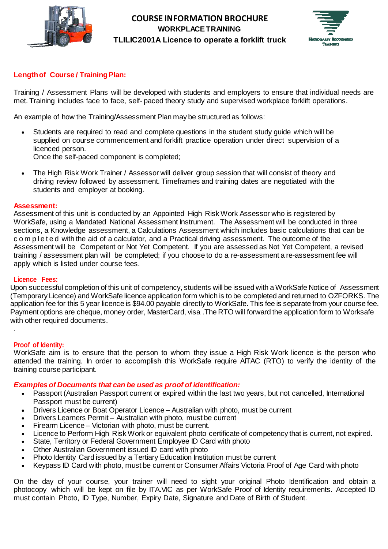



## **Length of Course / Training Plan:**

Training / Assessment Plans will be developed with students and employers to ensure that individual needs are met. Training includes face to face, self- paced theory study and supervised workplace forklift operations.

An example of how the Training/Assessment Plan may be structured as follows:

- Students are required to read and complete questions in the student study guide which will be supplied on course commencement and forklift practice operation under direct supervision of a licenced person. Once the self-paced component is completed;
- 
- The High Risk Work Trainer / Assessor will deliver group session that will consist of theory and driving review followed by assessment. Timeframes and training dates are negotiated with the students and employer at booking.

#### **Assessment:**

Assessment of this unit is conducted by an Appointed High Risk Work Assessor who is registered by WorkSafe, using a Mandated National Assessment Instrument. The Assessment will be conducted in three sections, a Knowledge assessment, a Calculations Assessment which includes basic calculations that can be c o m p l e t e d with the aid of a calculator, and a Practical driving assessment. The outcome of the Assessment will be Competent or Not Yet Competent. If you are assessed as Not Yet Competent, a revised training / assessment plan will be completed; if you choose to do a re-assessment a re-assessment fee will apply which is listed under course fees.

#### **Licence Fees:**

Upon successful completion of this unit of competency, students will be issued with a WorkSafe Notice of Assessment (Temporary Licence) and WorkSafe licence application form which is to be completed and returned to OZFORKS. The application fee for this 5 year licence is \$94.00 payable directly to WorkSafe. This fee is separate from your course fee. Payment options are cheque, money order, MasterCard, visa .The RTO will forward the application form to Worksafe with other required documents.

#### **Proof of Identity:**

.

WorkSafe aim is to ensure that the person to whom they issue a High Risk Work licence is the person who attended the training. In order to accomplish this WorkSafe require AITAC (RTO) to verify the identity of the training course participant.

#### *Examples of Documents that can be used as proof of identification:*

- Passport (Australian Passport current or expired within the last two years, but not cancelled, International Passport must be current)
- Drivers Licence or Boat Operator Licence Australian with photo, must be current
- Drivers Learners Permit Australian with photo, must be current
- Firearm Licence Victorian with photo, must be current.
- Licence to Perform High Risk Work or equivalent photo certificate of competency that is current, not expired.
- State, Territory or Federal Government Employee ID Card with photo
- Other Australian Government issued ID card with photo
- Photo Identity Card issued by a Tertiary Education Institution must be current
- Keypass ID Card with photo, must be current or Consumer Affairs Victoria Proof of Age Card with photo

On the day of your course, your trainer will need to sight your original Photo Identification and obtain a photocopy which will be kept on file by ITA.VIC as per WorkSafe Proof of Identity requirements. Accepted ID must contain Photo, ID Type, Number, Expiry Date, Signature and Date of Birth of Student.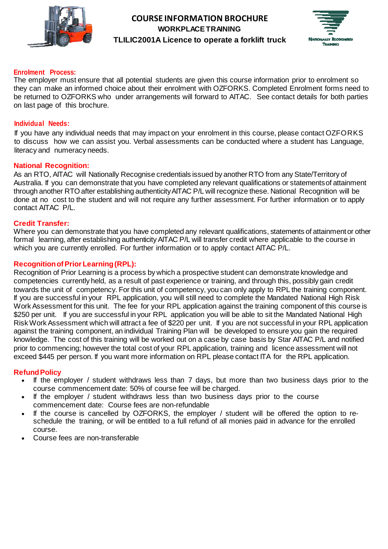



#### **Enrolment Process:**

The employer must ensure that all potential students are given this course information prior to enrolment so they can make an informed choice about their enrolment with OZFORKS. Completed Enrolment forms need to be returned to OZFORKS who under arrangements will forward to AITAC. See contact details for both parties on last page of this brochure.

#### **Individual Needs:**

If you have any individual needs that may impact on your enrolment in this course, please contact OZFORKS to discuss how we can assist you. Verbal assessments can be conducted where a student has Language, literacy and numeracy needs.

#### **National Recognition:**

As an RTO, AITAC will Nationally Recognise credentials issued by another RTO from any State/Territory of Australia. If you can demonstrate that you have completed any relevant qualifications or statementsof attainment through another RTO after establishing authenticityAITAC P/L will recognize these. National Recognition will be done at no cost to the student and will not require any further assessment. For further information or to apply contact AITAC P/L.

#### **Credit Transfer:**

Where you can demonstrate that you have completed any relevant qualifications, statements of attainmentor other formal learning, after establishing authenticity AITAC P/L will transfer credit where applicable to the course in which you are currently enrolled. For further information or to apply contact AITAC P/L.

#### **RecognitionofPriorLearning(RPL):**

Recognition of Prior Learning is a process by which a prospective student can demonstrate knowledge and competencies currently held, as a result of past experience or training, and through this, possibly gain credit towards the unit of competency. For this unit of competency, you can only apply to RPL the training component. If you are successful in your RPL application, you will still need to complete the Mandated National High Risk Work Assessment for this unit. The fee for your RPL application against the training component of this course is \$250 per unit. If you are successful in your RPL application you will be able to sit the Mandated National High Risk Work Assessment which will attract a fee of \$220 per unit. If you are not successful in your RPL application against the training component, an individual Training Plan will be developed to ensure you gain the required knowledge. The cost of this training will be worked out on a case by case basis by Star AITAC P/L and notified prior to commencing; however the total cost of your RPL application, training and licence assessment will not exceed \$445 per person. If you want more information on RPL please contact ITA for the RPL application.

#### **RefundPolicy**

- If the employer / student withdraws less than 7 days, but more than two business days prior to the course commencement date: 50% of course fee will be charged.
- If the employer / student withdraws less than two business days prior to the course commencement date: Course fees are non-refundable
- If the course is cancelled by OZFORKS, the employer / student will be offered the option to reschedule the training, or will be entitled to a full refund of all monies paid in advance for the enrolled course.
- Course fees are non-transferable